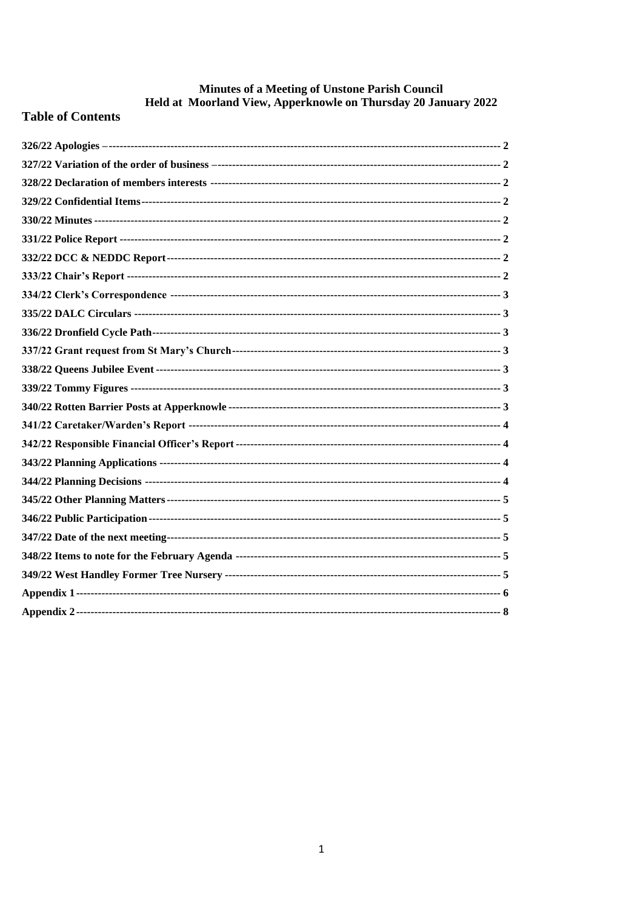# **Minutes of a Meeting of Unstone Parish Council<br>Held at Moorland View, Apperknowle on Thursday 20 January 2022**

# **Table of Contents**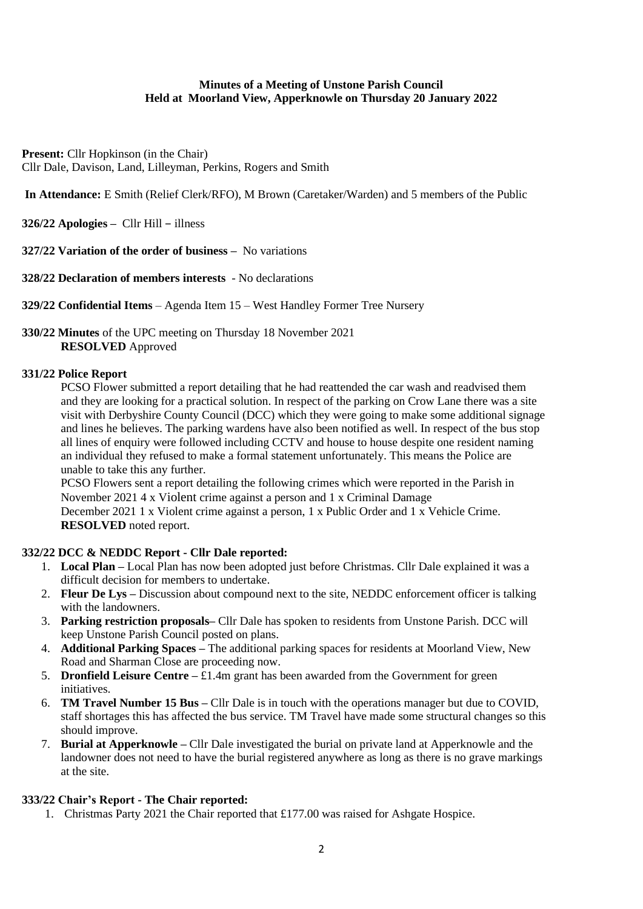#### **Minutes of a Meeting of Unstone Parish Council Held at Moorland View, Apperknowle on Thursday 20 January 2022**

**Present:** Cllr Hopkinson (in the Chair) Cllr Dale, Davison, Land, Lilleyman, Perkins, Rogers and Smith

**In Attendance:** E Smith (Relief Clerk/RFO), M Brown (Caretaker/Warden) and 5 members of the Public

<span id="page-1-0"></span>**326/22 Apologies –** Cllr Hill – illness

<span id="page-1-1"></span>**327/22 Variation of the order of business –** No variations

<span id="page-1-2"></span>**328/22 Declaration of members interests** - No declarations

<span id="page-1-3"></span>**329/22 Confidential Items** – Agenda Item 15 – West Handley Former Tree Nursery

#### <span id="page-1-4"></span>**330/22 Minutes** of the UPC meeting on Thursday 18 November 2021 **RESOLVED** Approved

#### <span id="page-1-5"></span>**331/22 Police Report**

PCSO Flower submitted a report detailing that he had reattended the car wash and readvised them and they are looking for a practical solution. In respect of the parking on Crow Lane there was a site visit with Derbyshire County Council (DCC) which they were going to make some additional signage and lines he believes. The parking wardens have also been notified as well. In respect of the bus stop all lines of enquiry were followed including CCTV and house to house despite one resident naming an individual they refused to make a formal statement unfortunately. This means the Police are unable to take this any further.

PCSO Flowers sent a report detailing the following crimes which were reported in the Parish in November 2021 4 x Violent crime against a person and 1 x Criminal Damage

December 2021 1 x Violent crime against a person, 1 x Public Order and 1 x Vehicle Crime. **RESOLVED** noted report.

#### <span id="page-1-6"></span>**332/22 DCC & NEDDC Report - Cllr Dale reported:**

- 1. **Local Plan –** Local Plan has now been adopted just before Christmas. Cllr Dale explained it was a difficult decision for members to undertake.
- 2. **Fleur De Lys –** Discussion about compound next to the site, NEDDC enforcement officer is talking with the landowners.
- 3. **Parking restriction proposals–** Cllr Dale has spoken to residents from Unstone Parish. DCC will keep Unstone Parish Council posted on plans.
- 4. **Additional Parking Spaces –** The additional parking spaces for residents at Moorland View, New Road and Sharman Close are proceeding now.
- 5. **Dronfield Leisure Centre**  $-\text{\textsterling}1.4m$  grant has been awarded from the Government for green initiatives.
- 6. **TM Travel Number 15 Bus –** Cllr Dale is in touch with the operations manager but due to COVID, staff shortages this has affected the bus service. TM Travel have made some structural changes so this should improve.
- 7. **Burial at Apperknowle –** Cllr Dale investigated the burial on private land at Apperknowle and the landowner does not need to have the burial registered anywhere as long as there is no grave markings at the site.

#### <span id="page-1-7"></span>**333/22 Chair's Report - The Chair reported:**

1. Christmas Party 2021 the Chair reported that £177.00 was raised for Ashgate Hospice.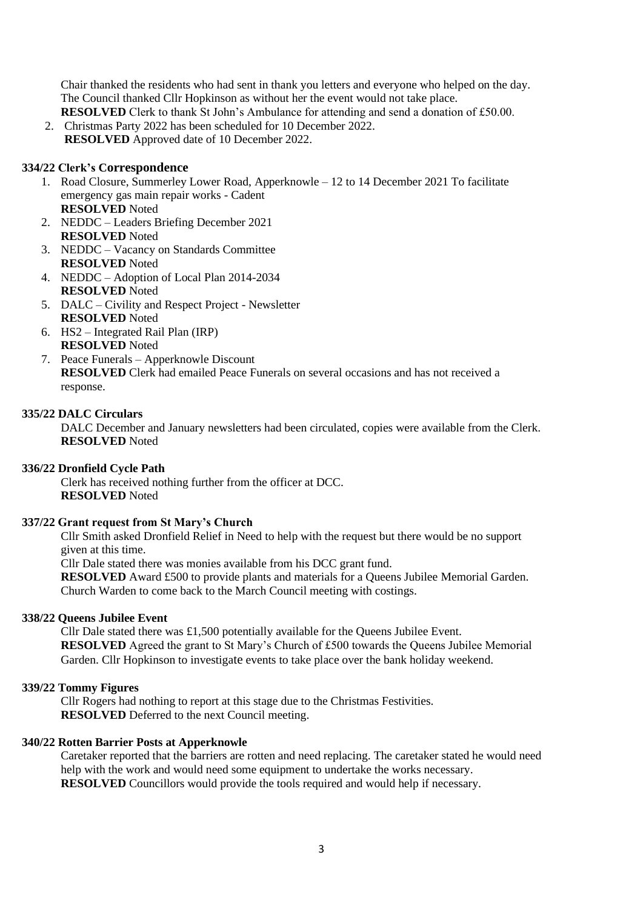Chair thanked the residents who had sent in thank you letters and everyone who helped on the day. The Council thanked Cllr Hopkinson as without her the event would not take place.

**RESOLVED** Clerk to thank St John's Ambulance for attending and send a donation of £50.00. 2. Christmas Party 2022 has been scheduled for 10 December 2022. **RESOLVED** Approved date of 10 December 2022.

#### <span id="page-2-0"></span>**334/22 Clerk's Correspondence**

- 1. Road Closure, Summerley Lower Road, Apperknowle 12 to 14 December 2021 To facilitate emergency gas main repair works - Cadent **RESOLVED** Noted
- 2. NEDDC Leaders Briefing December 2021 **RESOLVED** Noted
- 3. NEDDC Vacancy on Standards Committee **RESOLVED** Noted
- 4. NEDDC Adoption of Local Plan 2014-2034 **RESOLVED** Noted
- 5. DALC Civility and Respect Project Newsletter **RESOLVED** Noted
- 6. HS2 Integrated Rail Plan (IRP) **RESOLVED** Noted
- 7. Peace Funerals Apperknowle Discount **RESOLVED** Clerk had emailed Peace Funerals on several occasions and has not received a response.

#### <span id="page-2-1"></span>**335/22 DALC Circulars**

DALC December and January newsletters had been circulated, copies were available from the Clerk. **RESOLVED** Noted

#### <span id="page-2-2"></span>**336/22 Dronfield Cycle Path**

Clerk has received nothing further from the officer at DCC. **RESOLVED** Noted

#### <span id="page-2-3"></span>**337/22 Grant request from St Mary's Church**

Cllr Smith asked Dronfield Relief in Need to help with the request but there would be no support given at this time.

Cllr Dale stated there was monies available from his DCC grant fund.

**RESOLVED** Award £500 to provide plants and materials for a Queens Jubilee Memorial Garden. Church Warden to come back to the March Council meeting with costings.

#### <span id="page-2-4"></span>**338/22 Queens Jubilee Event**

Cllr Dale stated there was £1,500 potentially available for the Queens Jubilee Event. **RESOLVED** Agreed the grant to St Mary's Church of £500 towards the Queens Jubilee Memorial Garden. Cllr Hopkinson to investigate events to take place over the bank holiday weekend.

#### <span id="page-2-5"></span>**339/22 Tommy Figures**

Cllr Rogers had nothing to report at this stage due to the Christmas Festivities. **RESOLVED** Deferred to the next Council meeting.

#### <span id="page-2-6"></span>**340/22 Rotten Barrier Posts at Apperknowle**

Caretaker reported that the barriers are rotten and need replacing. The caretaker stated he would need help with the work and would need some equipment to undertake the works necessary. **RESOLVED** Councillors would provide the tools required and would help if necessary.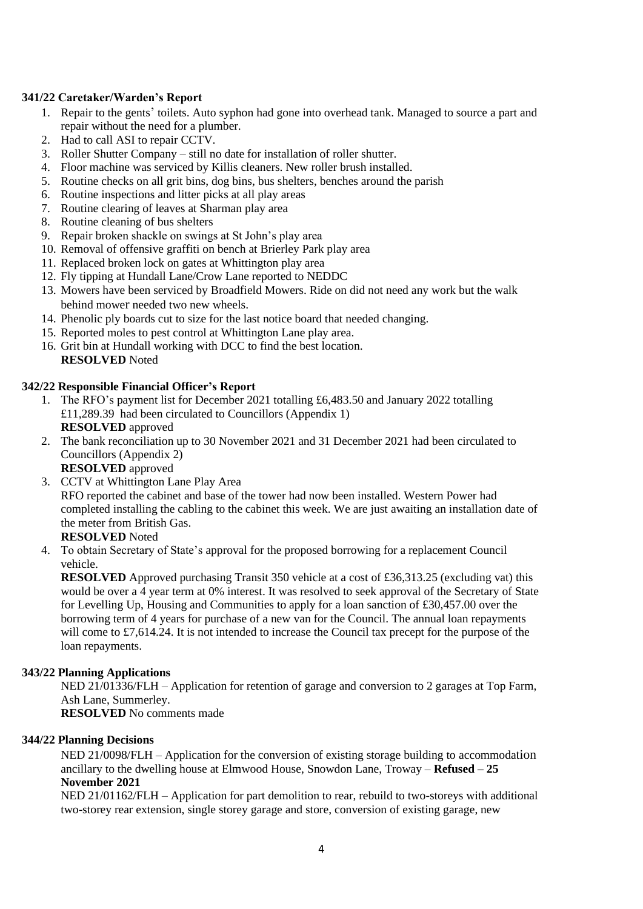#### <span id="page-3-0"></span>**341/22 Caretaker/Warden's Report**

- 1. Repair to the gents' toilets. Auto syphon had gone into overhead tank. Managed to source a part and repair without the need for a plumber.
- 2. Had to call ASI to repair CCTV.
- 3. Roller Shutter Company still no date for installation of roller shutter.
- 4. Floor machine was serviced by Killis cleaners. New roller brush installed.
- 5. Routine checks on all grit bins, dog bins, bus shelters, benches around the parish
- 6. Routine inspections and litter picks at all play areas
- 7. Routine clearing of leaves at Sharman play area
- 8. Routine cleaning of bus shelters
- 9. Repair broken shackle on swings at St John's play area
- 10. Removal of offensive graffiti on bench at Brierley Park play area
- 11. Replaced broken lock on gates at Whittington play area
- 12. Fly tipping at Hundall Lane/Crow Lane reported to NEDDC
- 13. Mowers have been serviced by Broadfield Mowers. Ride on did not need any work but the walk behind mower needed two new wheels.
- 14. Phenolic ply boards cut to size for the last notice board that needed changing.
- 15. Reported moles to pest control at Whittington Lane play area.
- 16. Grit bin at Hundall working with DCC to find the best location. **RESOLVED** Noted

#### <span id="page-3-1"></span>**342/22 Responsible Financial Officer's Report**

- 1. The RFO's payment list for December 2021 totalling £6,483.50 and January 2022 totalling £11,289.39 had been circulated to Councillors (Appendix 1) **RESOLVED** approved
- 2. The bank reconciliation up to 30 November 2021 and 31 December 2021 had been circulated to Councillors (Appendix 2)
	- **RESOLVED** approved
- 3. CCTV at Whittington Lane Play Area RFO reported the cabinet and base of the tower had now been installed. Western Power had completed installing the cabling to the cabinet this week. We are just awaiting an installation date of the meter from British Gas.

### **RESOLVED** Noted

4. To obtain Secretary of State's approval for the proposed borrowing for a replacement Council vehicle.

**RESOLVED** Approved purchasing Transit 350 vehicle at a cost of £36,313.25 (excluding vat) this would be over a 4 year term at 0% interest. It was resolved to seek approval of the Secretary of State for Levelling Up, Housing and Communities to apply for a loan sanction of £30,457.00 over the borrowing term of 4 years for purchase of a new van for the Council. The annual loan repayments will come to £7,614.24. It is not intended to increase the Council tax precept for the purpose of the loan repayments.

#### <span id="page-3-2"></span>**343/22 Planning Applications**

NED 21/01336/FLH – Application for retention of garage and conversion to 2 garages at Top Farm, Ash Lane, Summerley.

**RESOLVED** No comments made

#### <span id="page-3-3"></span>**344/22 Planning Decisions**

NED 21/0098/FLH – Application for the conversion of existing storage building to accommodation ancillary to the dwelling house at Elmwood House, Snowdon Lane, Troway – **Refused – 25 November 2021**

NED 21/01162/FLH – Application for part demolition to rear, rebuild to two-storeys with additional two-storey rear extension, single storey garage and store, conversion of existing garage, new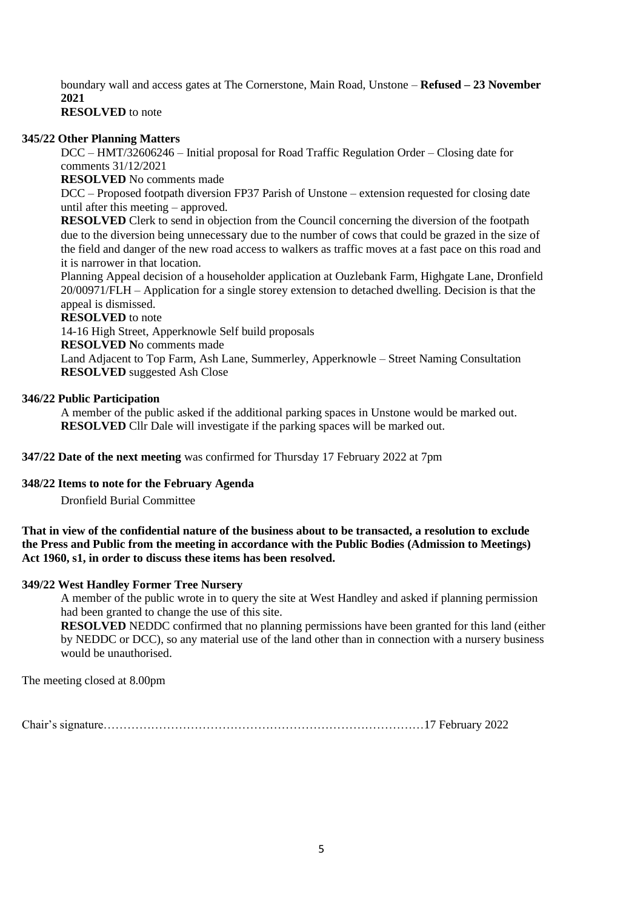boundary wall and access gates at The Cornerstone, Main Road, Unstone – **Refused – 23 November 2021**

**RESOLVED** to note

#### <span id="page-4-0"></span>**345/22 Other Planning Matters**

DCC – HMT/32606246 – Initial proposal for Road Traffic Regulation Order – Closing date for comments 31/12/2021

**RESOLVED** No comments made

DCC – Proposed footpath diversion FP37 Parish of Unstone – extension requested for closing date until after this meeting – approved.

**RESOLVED** Clerk to send in objection from the Council concerning the diversion of the footpath due to the diversion being unnecessary due to the number of cows that could be grazed in the size of the field and danger of the new road access to walkers as traffic moves at a fast pace on this road and it is narrower in that location.

Planning Appeal decision of a householder application at Ouzlebank Farm, Highgate Lane, Dronfield 20/00971/FLH – Application for a single storey extension to detached dwelling. Decision is that the appeal is dismissed.

#### **RESOLVED** to note

14-16 High Street, Apperknowle Self build proposals

**RESOLVED N**o comments made

Land Adjacent to Top Farm, Ash Lane, Summerley, Apperknowle – Street Naming Consultation **RESOLVED** suggested Ash Close

#### <span id="page-4-1"></span>**346/22 Public Participation**

A member of the public asked if the additional parking spaces in Unstone would be marked out. **RESOLVED** Cllr Dale will investigate if the parking spaces will be marked out.

<span id="page-4-2"></span>**347/22 Date of the next meeting** was confirmed for Thursday 17 February 2022 at 7pm

#### <span id="page-4-3"></span>**348/22 Items to note for the February Agenda**

Dronfield Burial Committee

#### **That in view of the confidential nature of the business about to be transacted, a resolution to exclude the Press and Public from the meeting in accordance with the Public Bodies (Admission to Meetings) Act 1960, s1, in order to discuss these items has been resolved.**

#### <span id="page-4-4"></span>**349/22 West Handley Former Tree Nursery**

A member of the public wrote in to query the site at West Handley and asked if planning permission had been granted to change the use of this site.

**RESOLVED** NEDDC confirmed that no planning permissions have been granted for this land (either by NEDDC or DCC), so any material use of the land other than in connection with a nursery business would be unauthorised.

The meeting closed at 8.00pm

Chair's signature………………………………………………………………………17 February 2022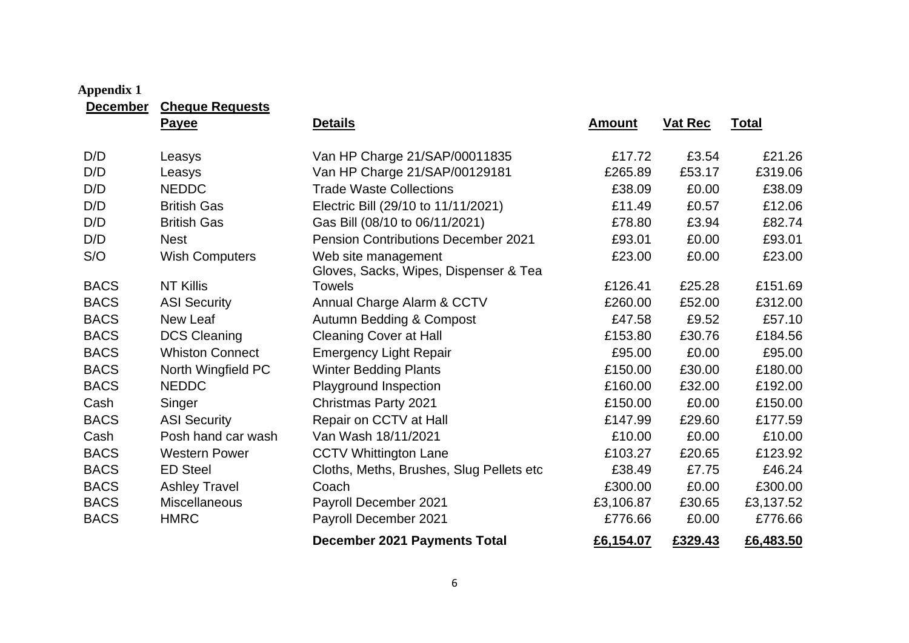<span id="page-5-0"></span>

| <b>Appendix 1</b><br><b>December</b> | <b>Cheque Requests</b> |                                                              |               |         |              |
|--------------------------------------|------------------------|--------------------------------------------------------------|---------------|---------|--------------|
|                                      | <b>Payee</b>           | <b>Details</b>                                               | <b>Amount</b> | Vat Rec | <b>Total</b> |
| D/D                                  | Leasys                 | Van HP Charge 21/SAP/00011835                                | £17.72        | £3.54   | £21.26       |
| D/D                                  | Leasys                 | Van HP Charge 21/SAP/00129181                                | £265.89       | £53.17  | £319.06      |
| D/D                                  | <b>NEDDC</b>           | <b>Trade Waste Collections</b>                               | £38.09        | £0.00   | £38.09       |
| D/D                                  | <b>British Gas</b>     | Electric Bill (29/10 to 11/11/2021)                          | £11.49        | £0.57   | £12.06       |
| D/D                                  | <b>British Gas</b>     | Gas Bill (08/10 to 06/11/2021)                               | £78.80        | £3.94   | £82.74       |
| D/D                                  | <b>Nest</b>            | <b>Pension Contributions December 2021</b>                   | £93.01        | £0.00   | £93.01       |
| S/O                                  | <b>Wish Computers</b>  | Web site management<br>Gloves, Sacks, Wipes, Dispenser & Tea | £23.00        | £0.00   | £23.00       |
| <b>BACS</b>                          | <b>NT Killis</b>       | Towels                                                       | £126.41       | £25.28  | £151.69      |
| <b>BACS</b>                          | <b>ASI Security</b>    | Annual Charge Alarm & CCTV                                   | £260.00       | £52.00  | £312.00      |
| <b>BACS</b>                          | New Leaf               | <b>Autumn Bedding &amp; Compost</b>                          | £47.58        | £9.52   | £57.10       |
| <b>BACS</b>                          | <b>DCS Cleaning</b>    | <b>Cleaning Cover at Hall</b>                                | £153.80       | £30.76  | £184.56      |
| <b>BACS</b>                          | <b>Whiston Connect</b> | <b>Emergency Light Repair</b>                                | £95.00        | £0.00   | £95.00       |
| <b>BACS</b>                          | North Wingfield PC     | <b>Winter Bedding Plants</b>                                 | £150.00       | £30.00  | £180.00      |
| <b>BACS</b>                          | <b>NEDDC</b>           | Playground Inspection                                        | £160.00       | £32.00  | £192.00      |
| Cash                                 | Singer                 | <b>Christmas Party 2021</b>                                  | £150.00       | £0.00   | £150.00      |
| <b>BACS</b>                          | <b>ASI Security</b>    | Repair on CCTV at Hall                                       | £147.99       | £29.60  | £177.59      |
| Cash                                 | Posh hand car wash     | Van Wash 18/11/2021                                          | £10.00        | £0.00   | £10.00       |
| <b>BACS</b>                          | <b>Western Power</b>   | <b>CCTV Whittington Lane</b>                                 | £103.27       | £20.65  | £123.92      |
| <b>BACS</b>                          | <b>ED Steel</b>        | Cloths, Meths, Brushes, Slug Pellets etc                     | £38.49        | £7.75   | £46.24       |
| <b>BACS</b>                          | <b>Ashley Travel</b>   | Coach                                                        | £300.00       | £0.00   | £300.00      |
| <b>BACS</b>                          | Miscellaneous          | Payroll December 2021                                        | £3,106.87     | £30.65  | £3,137.52    |
| <b>BACS</b>                          | <b>HMRC</b>            | Payroll December 2021                                        | £776.66       | £0.00   | £776.66      |
|                                      |                        | <b>December 2021 Payments Total</b>                          | £6,154.07     | £329.43 | £6,483.50    |

# $6\phantom{a}$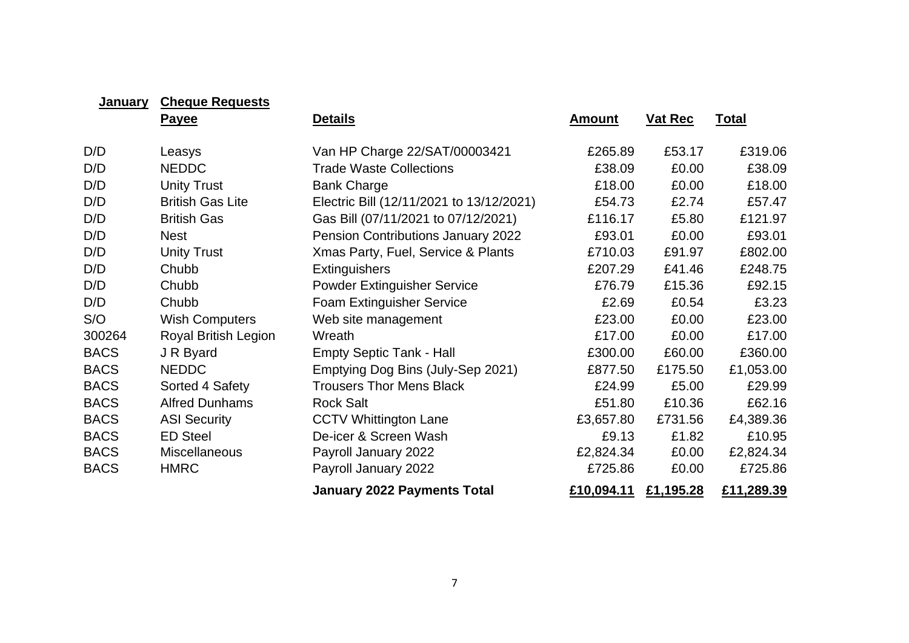| <b>January</b> | <b>Cheque Requests</b>      |                                          |               |                |              |
|----------------|-----------------------------|------------------------------------------|---------------|----------------|--------------|
|                | <b>Payee</b>                | <b>Details</b>                           | <u>Amount</u> | <b>Vat Rec</b> | <u>Total</u> |
| D/D            | Leasys                      | Van HP Charge 22/SAT/00003421            | £265.89       | £53.17         | £319.06      |
| D/D            | <b>NEDDC</b>                | <b>Trade Waste Collections</b>           | £38.09        | £0.00          | £38.09       |
| D/D            | <b>Unity Trust</b>          | <b>Bank Charge</b>                       | £18.00        | £0.00          | £18.00       |
| D/D            | <b>British Gas Lite</b>     | Electric Bill (12/11/2021 to 13/12/2021) | £54.73        | £2.74          | £57.47       |
| D/D            | <b>British Gas</b>          | Gas Bill (07/11/2021 to 07/12/2021)      | £116.17       | £5.80          | £121.97      |
| D/D            | <b>Nest</b>                 | Pension Contributions January 2022       | £93.01        | £0.00          | £93.01       |
| D/D            | <b>Unity Trust</b>          | Xmas Party, Fuel, Service & Plants       | £710.03       | £91.97         | £802.00      |
| D/D            | Chubb                       | <b>Extinguishers</b>                     | £207.29       | £41.46         | £248.75      |
| D/D            | Chubb                       | <b>Powder Extinguisher Service</b>       | £76.79        | £15.36         | £92.15       |
| D/D            | Chubb                       | Foam Extinguisher Service                | £2.69         | £0.54          | £3.23        |
| S/O            | <b>Wish Computers</b>       | Web site management                      | £23.00        | £0.00          | £23.00       |
| 300264         | <b>Royal British Legion</b> | Wreath                                   | £17.00        | £0.00          | £17.00       |
| <b>BACS</b>    | J R Byard                   | <b>Empty Septic Tank - Hall</b>          | £300.00       | £60.00         | £360.00      |
| <b>BACS</b>    | <b>NEDDC</b>                | Emptying Dog Bins (July-Sep 2021)        | £877.50       | £175.50        | £1,053.00    |
| <b>BACS</b>    | Sorted 4 Safety             | <b>Trousers Thor Mens Black</b>          | £24.99        | £5.00          | £29.99       |
| <b>BACS</b>    | <b>Alfred Dunhams</b>       | <b>Rock Salt</b>                         | £51.80        | £10.36         | £62.16       |
| <b>BACS</b>    | <b>ASI Security</b>         | <b>CCTV Whittington Lane</b>             | £3,657.80     | £731.56        | £4,389.36    |
| <b>BACS</b>    | <b>ED Steel</b>             | De-icer & Screen Wash                    | £9.13         | £1.82          | £10.95       |
| <b>BACS</b>    | <b>Miscellaneous</b>        | Payroll January 2022                     | £2,824.34     | £0.00          | £2,824.34    |
| <b>BACS</b>    | <b>HMRC</b>                 | Payroll January 2022                     | £725.86       | £0.00          | £725.86      |
|                |                             | <b>January 2022 Payments Total</b>       | £10,094.11    | £1,195.28      | £11,289.39   |